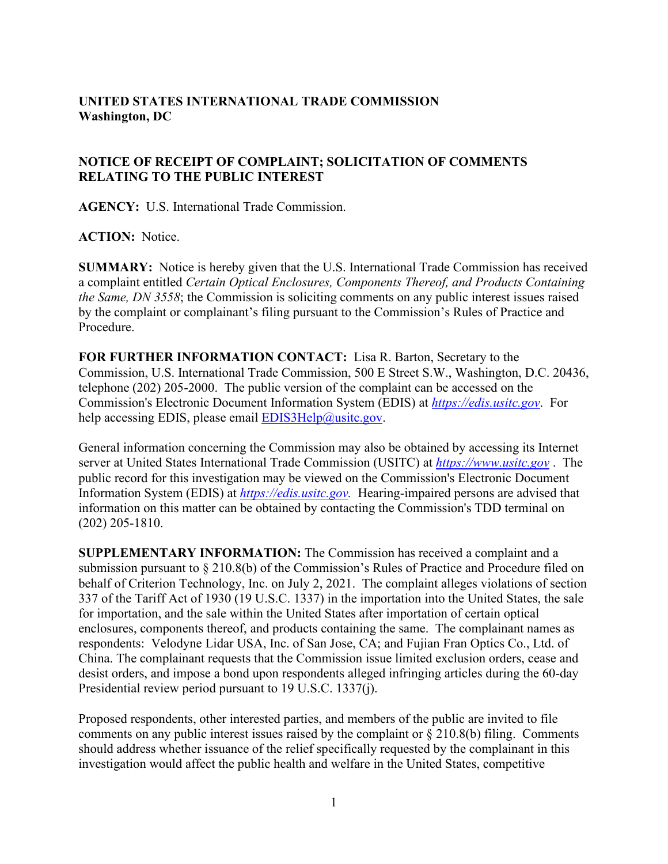## **UNITED STATES INTERNATIONAL TRADE COMMISSION Washington, DC**

## **NOTICE OF RECEIPT OF COMPLAINT; SOLICITATION OF COMMENTS RELATING TO THE PUBLIC INTEREST**

**AGENCY:** U.S. International Trade Commission.

## **ACTION:** Notice.

**SUMMARY:** Notice is hereby given that the U.S. International Trade Commission has received a complaint entitled *Certain Optical Enclosures, Components Thereof, and Products Containing the Same, DN 3558*; the Commission is soliciting comments on any public interest issues raised by the complaint or complainant's filing pursuant to the Commission's Rules of Practice and Procedure.

**FOR FURTHER INFORMATION CONTACT:** Lisa R. Barton, Secretary to the Commission, U.S. International Trade Commission, 500 E Street S.W., Washington, D.C. 20436, telephone (202) 205-2000. The public version of the complaint can be accessed on the Commission's Electronic Document Information System (EDIS) at *[https://edis.usitc.gov](https://edis.usitc.gov/)*. For help accessing EDIS, please email  $EDIS3Help@usite.gov$ .

General information concerning the Commission may also be obtained by accessing its Internet server at United States International Trade Commission (USITC) at *[https://www.usitc.gov](https://www.usitc.gov/)* . The public record for this investigation may be viewed on the Commission's Electronic Document Information System (EDIS) at *[https://edis.usitc.gov.](https://edis.usitc.gov/)* Hearing-impaired persons are advised that information on this matter can be obtained by contacting the Commission's TDD terminal on (202) 205-1810.

**SUPPLEMENTARY INFORMATION:** The Commission has received a complaint and a submission pursuant to § 210.8(b) of the Commission's Rules of Practice and Procedure filed on behalf of Criterion Technology, Inc. on July 2, 2021. The complaint alleges violations of section 337 of the Tariff Act of 1930 (19 U.S.C. 1337) in the importation into the United States, the sale for importation, and the sale within the United States after importation of certain optical enclosures, components thereof, and products containing the same. The complainant names as respondents: Velodyne Lidar USA, Inc. of San Jose, CA; and Fujian Fran Optics Co., Ltd. of China. The complainant requests that the Commission issue limited exclusion orders, cease and desist orders, and impose a bond upon respondents alleged infringing articles during the 60-day Presidential review period pursuant to 19 U.S.C. 1337(j).

Proposed respondents, other interested parties, and members of the public are invited to file comments on any public interest issues raised by the complaint or  $\S 210.8(b)$  filing. Comments should address whether issuance of the relief specifically requested by the complainant in this investigation would affect the public health and welfare in the United States, competitive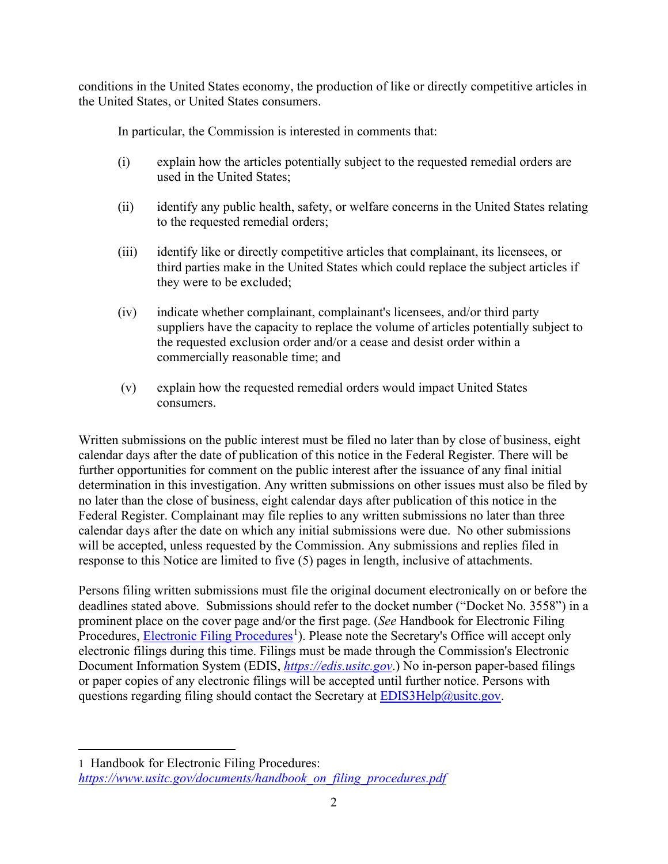conditions in the United States economy, the production of like or directly competitive articles in the United States, or United States consumers.

In particular, the Commission is interested in comments that:

- (i) explain how the articles potentially subject to the requested remedial orders are used in the United States;
- (ii) identify any public health, safety, or welfare concerns in the United States relating to the requested remedial orders;
- (iii) identify like or directly competitive articles that complainant, its licensees, or third parties make in the United States which could replace the subject articles if they were to be excluded;
- (iv) indicate whether complainant, complainant's licensees, and/or third party suppliers have the capacity to replace the volume of articles potentially subject to the requested exclusion order and/or a cease and desist order within a commercially reasonable time; and
- (v) explain how the requested remedial orders would impact United States consumers.

Written submissions on the public interest must be filed no later than by close of business, eight calendar days after the date of publication of this notice in the Federal Register. There will be further opportunities for comment on the public interest after the issuance of any final initial determination in this investigation. Any written submissions on other issues must also be filed by no later than the close of business, eight calendar days after publication of this notice in the Federal Register. Complainant may file replies to any written submissions no later than three calendar days after the date on which any initial submissions were due. No other submissions will be accepted, unless requested by the Commission. Any submissions and replies filed in response to this Notice are limited to five (5) pages in length, inclusive of attachments.

Persons filing written submissions must file the original document electronically on or before the deadlines stated above. Submissions should refer to the docket number ("Docket No. 3558") in a prominent place on the cover page and/or the first page. (*See* Handbook for Electronic Filing Procedures, **Electronic Filing Procedures**<sup>[1](#page-1-0)</sup>). Please note the Secretary's Office will accept only electronic filings during this time. Filings must be made through the Commission's Electronic Document Information System (EDIS, *[https://edis.usitc.gov](https://edis.usitc.gov/)*.) No in-person paper-based filings or paper copies of any electronic filings will be accepted until further notice. Persons with questions regarding filing should contact the Secretary at **EDIS3Help@usitc.gov**.

<span id="page-1-0"></span><sup>1</sup> Handbook for Electronic Filing Procedures: *[https://www.usitc.gov/documents/handbook\\_on\\_filing\\_procedures.pdf](https://www.usitc.gov/documents/handbook_on_filing_procedures.pdf)*